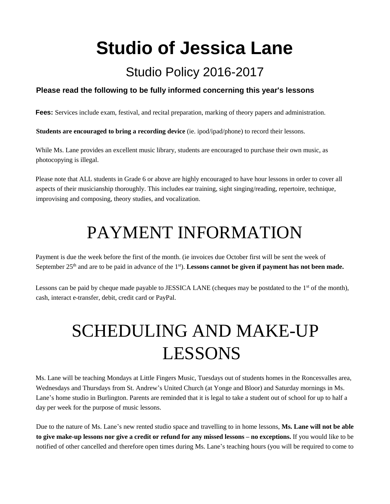**Studio of Jessica Lane** 

#### Studio Policy 2016-2017

#### **Please read the following to be fully informed concerning this year's lessons**

**Fees:** Services include exam, festival, and recital preparation, marking of theory papers and administration.

**Students are encouraged to bring a recording device** (ie. ipod/ipad/phone) to record their lessons.

While Ms. Lane provides an excellent music library, students are encouraged to purchase their own music, as photocopying is illegal.

Please note that ALL students in Grade 6 or above are highly encouraged to have hour lessons in order to cover all aspects of their musicianship thoroughly. This includes ear training, sight singing/reading, repertoire, technique, improvising and composing, theory studies, and vocalization.

#### PAYMENT INFORMATION

Payment is due the week before the first of the month. (ie invoices due October first will be sent the week of September 25<sup>th</sup> and are to be paid in advance of the 1<sup>st</sup>). Lessons cannot be given if payment has not been made.

Lessons can be paid by cheque made payable to JESSICA LANE (cheques may be postdated to the  $1<sup>st</sup>$  of the month), cash, interact e-transfer, debit, credit card or PayPal.

## SCHEDULING AND MAKE-UP LESSONS

Ms. Lane will be teaching Mondays at Little Fingers Music, Tuesdays out of students homes in the Roncesvalles area, Wednesdays and Thursdays from St. Andrew's United Church (at Yonge and Bloor) and Saturday mornings in Ms. Lane's home studio in Burlington. Parents are reminded that it is legal to take a student out of school for up to half a day per week for the purpose of music lessons.

Due to the nature of Ms. Lane's new rented studio space and travelling to in home lessons, **Ms. Lane will not be able to give make-up lessons nor give a credit or refund for any missed lessons – no exceptions.** If you would like to be notified of other cancelled and therefore open times during Ms. Lane's teaching hours (you will be required to come to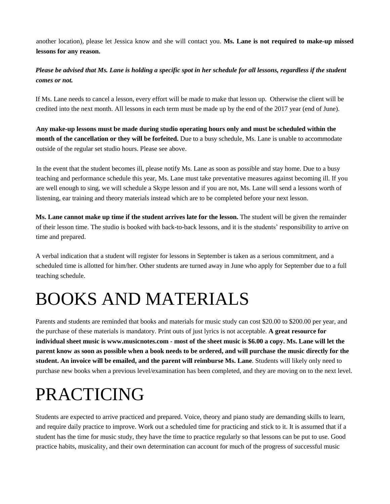another location), please let Jessica know and she will contact you. **Ms. Lane is not required to make-up missed lessons for any reason.**

*Please be advised that Ms. Lane is holding a specific spot in her schedule for all lessons, regardless if the student comes or not.* 

If Ms. Lane needs to cancel a lesson, every effort will be made to make that lesson up. Otherwise the client will be credited into the next month. All lessons in each term must be made up by the end of the 2017 year (end of June).

**Any make-up lessons must be made during studio operating hours only and must be scheduled within the month of the cancellation or they will be forfeited.** Due to a busy schedule, Ms. Lane is unable to accommodate outside of the regular set studio hours. Please see above.

In the event that the student becomes ill, please notify Ms. Lane as soon as possible and stay home. Due to a busy teaching and performance schedule this year, Ms. Lane must take preventative measures against becoming ill. If you are well enough to sing, we will schedule a Skype lesson and if you are not, Ms. Lane will send a lessons worth of listening, ear training and theory materials instead which are to be completed before your next lesson.

**Ms. Lane cannot make up time if the student arrives late for the lesson.** The student will be given the remainder of their lesson time. The studio is booked with back-to-back lessons, and it is the students' responsibility to arrive on time and prepared.

A verbal indication that a student will register for lessons in September is taken as a serious commitment, and a scheduled time is allotted for him/her. Other students are turned away in June who apply for September due to a full teaching schedule.

## BOOKS AND MATERIALS

Parents and students are reminded that books and materials for music study can cost \$20.00 to \$200.00 per year, and the purchase of these materials is mandatory. Print outs of just lyrics is not acceptable. **A great resource for individual sheet music is www.musicnotes.com - most of the sheet music is \$6.00 a copy. Ms. Lane will let the parent know as soon as possible when a book needs to be ordered, and will purchase the music directly for the student. An invoice will be emailed, and the parent will reimburse Ms. Lane**. Students will likely only need to purchase new books when a previous level/examination has been completed, and they are moving on to the next level.

#### PRACTICING

Students are expected to arrive practiced and prepared. Voice, theory and piano study are demanding skills to learn, and require daily practice to improve. Work out a scheduled time for practicing and stick to it. It is assumed that if a student has the time for music study, they have the time to practice regularly so that lessons can be put to use. Good practice habits, musicality, and their own determination can account for much of the progress of successful music